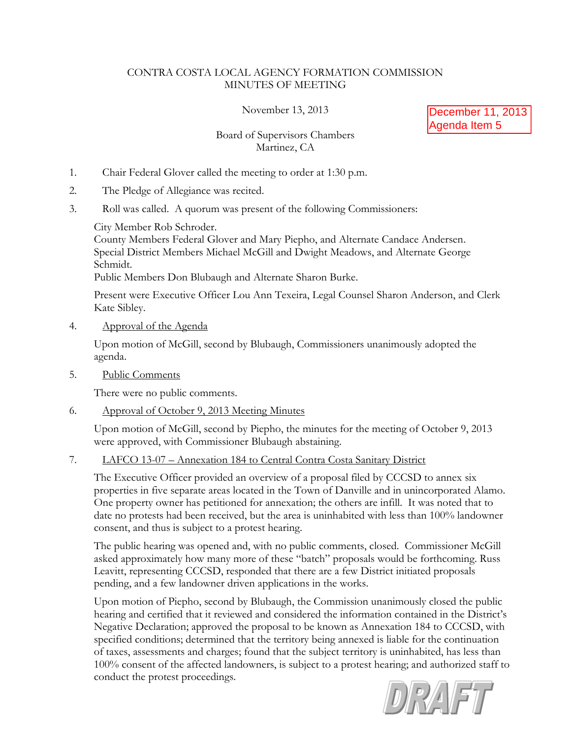## CONTRA COSTA LOCAL AGENCY FORMATION COMMISSION MINUTES OF MEETING

November 13, 2013

December 11, 2013 Agenda Item 5

# Board of Supervisors Chambers Martinez, CA

- 1. Chair Federal Glover called the meeting to order at 1:30 p.m.
- 2. The Pledge of Allegiance was recited.
- 3. Roll was called. A quorum was present of the following Commissioners:

City Member Rob Schroder.

County Members Federal Glover and Mary Piepho, and Alternate Candace Andersen. Special District Members Michael McGill and Dwight Meadows, and Alternate George Schmidt.

Public Members Don Blubaugh and Alternate Sharon Burke.

Present were Executive Officer Lou Ann Texeira, Legal Counsel Sharon Anderson, and Clerk Kate Sibley.

4. Approval of the Agenda

Upon motion of McGill, second by Blubaugh, Commissioners unanimously adopted the agenda.

5. Public Comments

There were no public comments.

6. Approval of October 9, 2013 Meeting Minutes

Upon motion of McGill, second by Piepho, the minutes for the meeting of October 9, 2013 were approved, with Commissioner Blubaugh abstaining.

7. LAFCO 13-07 – Annexation 184 to Central Contra Costa Sanitary District

The Executive Officer provided an overview of a proposal filed by CCCSD to annex six properties in five separate areas located in the Town of Danville and in unincorporated Alamo. One property owner has petitioned for annexation; the others are infill. It was noted that to date no protests had been received, but the area is uninhabited with less than 100% landowner consent, and thus is subject to a protest hearing.

The public hearing was opened and, with no public comments, closed. Commissioner McGill asked approximately how many more of these "batch" proposals would be forthcoming. Russ Leavitt, representing CCCSD, responded that there are a few District initiated proposals pending, and a few landowner driven applications in the works.

Upon motion of Piepho, second by Blubaugh, the Commission unanimously closed the public hearing and certified that it reviewed and considered the information contained in the District's Negative Declaration; approved the proposal to be known as Annexation 184 to CCCSD, with specified conditions; determined that the territory being annexed is liable for the continuation of taxes, assessments and charges; found that the subject territory is uninhabited, has less than 100% consent of the affected landowners, is subject to a protest hearing; and authorized staff to conduct the protest proceedings.

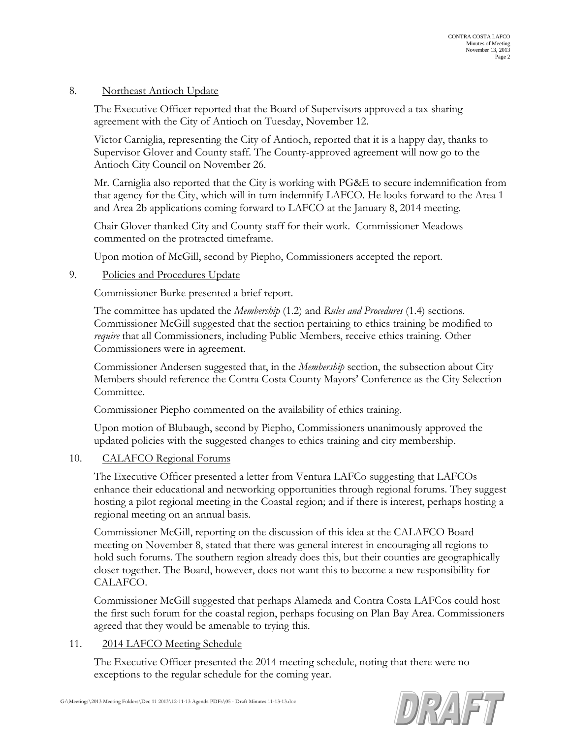### 8. Northeast Antioch Update

The Executive Officer reported that the Board of Supervisors approved a tax sharing agreement with the City of Antioch on Tuesday, November 12.

Victor Carniglia, representing the City of Antioch, reported that it is a happy day, thanks to Supervisor Glover and County staff. The County-approved agreement will now go to the Antioch City Council on November 26.

Mr. Carniglia also reported that the City is working with PG&E to secure indemnification from that agency for the City, which will in turn indemnify LAFCO. He looks forward to the Area 1 and Area 2b applications coming forward to LAFCO at the January 8, 2014 meeting.

Chair Glover thanked City and County staff for their work. Commissioner Meadows commented on the protracted timeframe.

Upon motion of McGill, second by Piepho, Commissioners accepted the report.

### 9. Policies and Procedures Update

Commissioner Burke presented a brief report.

The committee has updated the *Membership* (1.2) and *Rules and Procedures* (1.4) sections. Commissioner McGill suggested that the section pertaining to ethics training be modified to *require* that all Commissioners, including Public Members, receive ethics training. Other Commissioners were in agreement.

Commissioner Andersen suggested that, in the *Membership* section, the subsection about City Members should reference the Contra Costa County Mayors' Conference as the City Selection Committee.

Commissioner Piepho commented on the availability of ethics training.

Upon motion of Blubaugh, second by Piepho, Commissioners unanimously approved the updated policies with the suggested changes to ethics training and city membership.

#### 10. CALAFCO Regional Forums

The Executive Officer presented a letter from Ventura LAFCo suggesting that LAFCOs enhance their educational and networking opportunities through regional forums. They suggest hosting a pilot regional meeting in the Coastal region; and if there is interest, perhaps hosting a regional meeting on an annual basis.

Commissioner McGill, reporting on the discussion of this idea at the CALAFCO Board meeting on November 8, stated that there was general interest in encouraging all regions to hold such forums. The southern region already does this, but their counties are geographically closer together. The Board, however, does not want this to become a new responsibility for CALAFCO.

Commissioner McGill suggested that perhaps Alameda and Contra Costa LAFCos could host the first such forum for the coastal region, perhaps focusing on Plan Bay Area. Commissioners agreed that they would be amenable to trying this.

#### 11. 2014 LAFCO Meeting Schedule

The Executive Officer presented the 2014 meeting schedule, noting that there were no exceptions to the regular schedule for the coming year.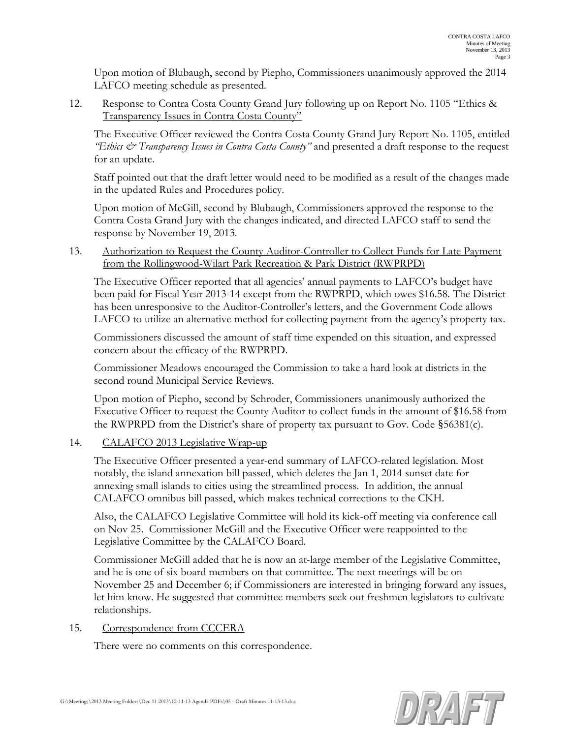Upon motion of Blubaugh, second by Piepho, Commissioners unanimously approved the 2014 LAFCO meeting schedule as presented.

12. Response to Contra Costa County Grand Jury following up on Report No. 1105 "Ethics & Transparency Issues in Contra Costa County"

The Executive Officer reviewed the Contra Costa County Grand Jury Report No. 1105, entitled *"Ethics & Transparency Issues in Contra Costa County"* and presented a draft response to the request for an update.

Staff pointed out that the draft letter would need to be modified as a result of the changes made in the updated Rules and Procedures policy.

Upon motion of McGill, second by Blubaugh, Commissioners approved the response to the Contra Costa Grand Jury with the changes indicated, and directed LAFCO staff to send the response by November 19, 2013.

13. Authorization to Request the County Auditor-Controller to Collect Funds for Late Payment from the Rollingwood-Wilart Park Recreation & Park District (RWPRPD)

The Executive Officer reported that all agencies' annual payments to LAFCO's budget have been paid for Fiscal Year 2013-14 except from the RWPRPD, which owes \$16.58. The District has been unresponsive to the Auditor-Controller's letters, and the Government Code allows LAFCO to utilize an alternative method for collecting payment from the agency's property tax.

Commissioners discussed the amount of staff time expended on this situation, and expressed concern about the efficacy of the RWPRPD.

Commissioner Meadows encouraged the Commission to take a hard look at districts in the second round Municipal Service Reviews.

Upon motion of Piepho, second by Schroder, Commissioners unanimously authorized the Executive Officer to request the County Auditor to collect funds in the amount of \$16.58 from the RWPRPD from the District's share of property tax pursuant to Gov. Code §56381(c).

## 14. CALAFCO 2013 Legislative Wrap-up

The Executive Officer presented a year-end summary of LAFCO-related legislation. Most notably, the island annexation bill passed, which deletes the Jan 1, 2014 sunset date for annexing small islands to cities using the streamlined process. In addition, the annual CALAFCO omnibus bill passed, which makes technical corrections to the CKH.

Also, the CALAFCO Legislative Committee will hold its kick-off meeting via conference call on Nov 25. Commissioner McGill and the Executive Officer were reappointed to the Legislative Committee by the CALAFCO Board.

Commissioner McGill added that he is now an at-large member of the Legislative Committee, and he is one of six board members on that committee. The next meetings will be on November 25 and December 6; if Commissioners are interested in bringing forward any issues, let him know. He suggested that committee members seek out freshmen legislators to cultivate relationships.

## 15. Correspondence from CCCERA

There were no comments on this correspondence.